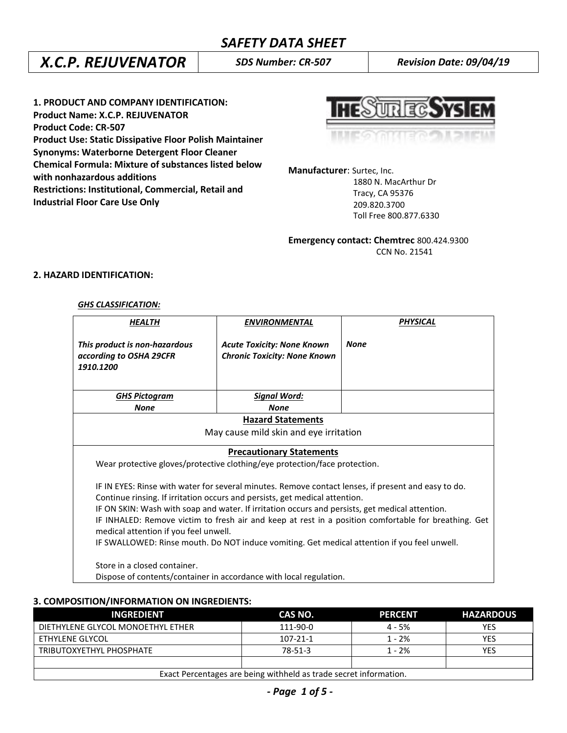# *X.C.P. REJUVENATOR SDS Number: CR-507 Revision Date: 09/04/19*

**1. PRODUCT AND COMPANY IDENTIFICATION: Product Name: X.C.P. REJUVENATOR Product Code: CR-507 Product Use: Static Dissipative Floor Polish Maintainer Synonyms: Waterborne Detergent Floor Cleaner Chemical Formula: Mixture of substances listed below with nonhazardous additions Restrictions: Institutional, Commercial, Retail and Industrial Floor Care Use Only**

**UREGSYS** 

**Manufacturer**: Surtec, Inc.

 1880 N. MacArthur Dr Tracy, CA 95376 209.820.3700 Toll Free 800.877.6330

**Emergency contact: Chemtrec** 800.424.9300 CCN No. 21541

# **2. HAZARD IDENTIFICATION:**

### *GHS CLASSIFICATION:*

| HEALTH                                                                                                                                                                                                                                                                                                                                           | <b>ENVIRONMENTAL</b>                                                     | <b>PHYSICAL</b> |  |  |
|--------------------------------------------------------------------------------------------------------------------------------------------------------------------------------------------------------------------------------------------------------------------------------------------------------------------------------------------------|--------------------------------------------------------------------------|-----------------|--|--|
| This product is non-hazardous<br>according to OSHA 29CFR<br>1910.1200                                                                                                                                                                                                                                                                            | <b>Acute Toxicity: None Known</b><br><b>Chronic Toxicity: None Known</b> | <b>None</b>     |  |  |
| <b>GHS Pictogram</b>                                                                                                                                                                                                                                                                                                                             | <b>Signal Word:</b>                                                      |                 |  |  |
| <b>None</b>                                                                                                                                                                                                                                                                                                                                      | <b>None</b>                                                              |                 |  |  |
| <b>Hazard Statements</b>                                                                                                                                                                                                                                                                                                                         |                                                                          |                 |  |  |
|                                                                                                                                                                                                                                                                                                                                                  | May cause mild skin and eye irritation                                   |                 |  |  |
| <b>Precautionary Statements</b><br>Wear protective gloves/protective clothing/eye protection/face protection.<br>IF IN EYES: Rinse with water for several minutes. Remove contact lenses, if present and easy to do.<br>Continue rinsing. If irritation occurs and persists, get medical attention.                                              |                                                                          |                 |  |  |
| IF ON SKIN: Wash with soap and water. If irritation occurs and persists, get medical attention.<br>IF INHALED: Remove victim to fresh air and keep at rest in a position comfortable for breathing. Get<br>medical attention if you feel unwell.<br>IF SWALLOWED: Rinse mouth. Do NOT induce vomiting. Get medical attention if you feel unwell. |                                                                          |                 |  |  |
| Store in a closed container.                                                                                                                                                                                                                                                                                                                     | Dispose of contents/container in accordance with local regulation.       |                 |  |  |

**3. COMPOSITION/INFORMATION ON INGREDIENTS:**

| <b>INGREDIENT</b>                                                 | CAS NO.   | <b>PERCENT</b> | <b>HAZARDOUS</b> |
|-------------------------------------------------------------------|-----------|----------------|------------------|
| DIETHYLENE GLYCOL MONOETHYL ETHER                                 | 111-90-0  | $4 - 5%$       | YES              |
| ETHYLENE GLYCOL                                                   | 107-21-1  | $1 - 2%$       | YES              |
| TRIBUTOXYETHYL PHOSPHATE                                          | $78-51-3$ | $1 - 2%$       | <b>YES</b>       |
|                                                                   |           |                |                  |
| Exact Percentages are being withheld as trade secret information. |           |                |                  |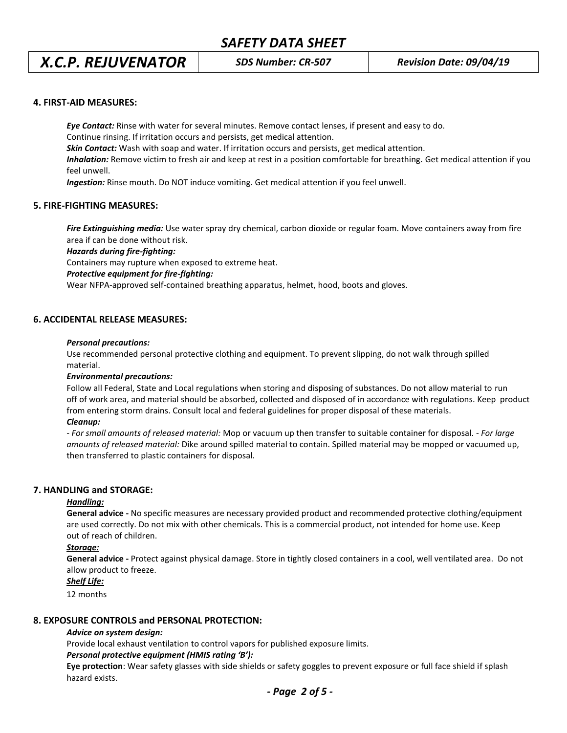# *X.C.P. REJUVENATOR SDS Number: CR-507 Revision Date: 09/04/19*

### **4. FIRST-AID MEASURES:**

*Eye Contact:* Rinse with water for several minutes. Remove contact lenses, if present and easy to do. Continue rinsing. If irritation occurs and persists, get medical attention.

*Skin Contact:* Wash with soap and water. If irritation occurs and persists, get medical attention.

*Inhalation:* Remove victim to fresh air and keep at rest in a position comfortable for breathing. Get medical attention if you feel unwell.

*Ingestion:* Rinse mouth. Do NOT induce vomiting. Get medical attention if you feel unwell.

## **5. FIRE-FIGHTING MEASURES:**

*Fire Extinguishing media:* Use water spray dry chemical, carbon dioxide or regular foam. Move containers away from fire area if can be done without risk.

*Hazards during fire-fighting:*

Containers may rupture when exposed to extreme heat.

### *Protective equipment for fire-fighting:*

Wear NFPA-approved self-contained breathing apparatus, helmet, hood, boots and gloves.

### **6. ACCIDENTAL RELEASE MEASURES:**

#### *Personal precautions:*

Use recommended personal protective clothing and equipment. To prevent slipping, do not walk through spilled material.

### *Environmental precautions:*

Follow all Federal, State and Local regulations when storing and disposing of substances. Do not allow material to run off of work area, and material should be absorbed, collected and disposed of in accordance with regulations. Keep product from entering storm drains. Consult local and federal guidelines for proper disposal of these materials.

### *Cleanup:*

*- For small amounts of released material:* Mop or vacuum up then transfer to suitable container for disposal. - *For large amounts of released material:* Dike around spilled material to contain. Spilled material may be mopped or vacuumed up, then transferred to plastic containers for disposal.

## **7. HANDLING and STORAGE:**

### *Handling:*

**General advice -** No specific measures are necessary provided product and recommended protective clothing/equipment are used correctly. Do not mix with other chemicals. This is a commercial product, not intended for home use. Keep out of reach of children.

### *Storage:*

**General advice -** Protect against physical damage. Store in tightly closed containers in a cool, well ventilated area. Do not allow product to freeze.

### *Shelf Life:*

12 months

### **8. EXPOSURE CONTROLS and PERSONAL PROTECTION:**

### *Advice on system design:*

Provide local exhaust ventilation to control vapors for published exposure limits.

### *Personal protective equipment (HMIS rating 'B'):*

**Eye protection**: Wear safety glasses with side shields or safety goggles to prevent exposure or full face shield if splash hazard exists.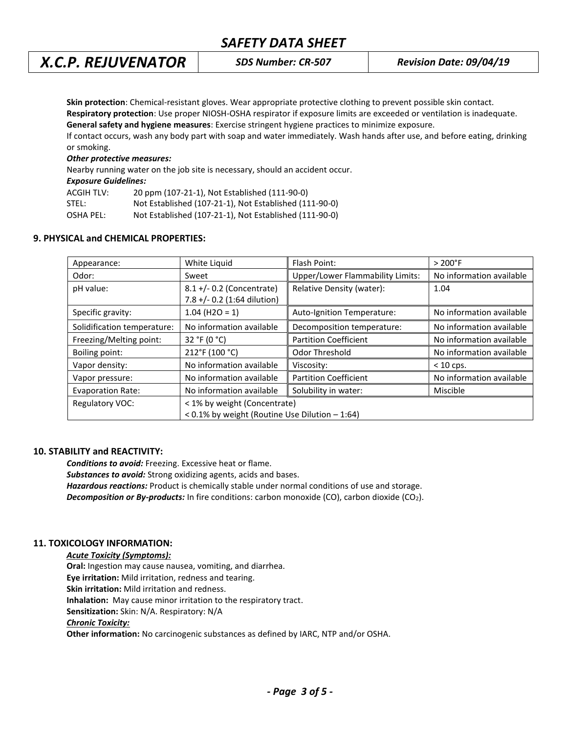# *X.C.P. REJUVENATOR SDS Number: CR-507 Revision Date: 09/04/19*

**Skin protection**: Chemical-resistant gloves. Wear appropriate protective clothing to prevent possible skin contact.

**Respiratory protection**: Use proper NIOSH-OSHA respirator if exposure limits are exceeded or ventilation is inadequate. **General safety and hygiene measures**: Exercise stringent hygiene practices to minimize exposure.

If contact occurs, wash any body part with soap and water immediately. Wash hands after use, and before eating, drinking or smoking.

### *Other protective measures:*

Nearby running water on the job site is necessary, should an accident occur. *Exposure Guidelines:*

| EXPOSURE GUIUCINICS: |                                                        |
|----------------------|--------------------------------------------------------|
| ACGIH TLV:           | 20 ppm (107-21-1), Not Established (111-90-0)          |
| STEL:                | Not Established (107-21-1), Not Established (111-90-0) |

OSHA PEL: Not Established (107-21-1), Not Established (111-90-0)

## **9. PHYSICAL and CHEMICAL PROPERTIES:**

| Appearance:                 | White Liquid                                        | Flash Point:                            | $>200^{\circ}$ F         |
|-----------------------------|-----------------------------------------------------|-----------------------------------------|--------------------------|
| Odor:                       | Sweet                                               | <b>Upper/Lower Flammability Limits:</b> | No information available |
| pH value:                   | $8.1 + / - 0.2$ (Concentrate)                       | Relative Density (water):               | 1.04                     |
|                             | 7.8 +/- 0.2 (1:64 dilution)                         |                                         |                          |
| Specific gravity:           | $1.04$ (H2O = 1)                                    | Auto-Ignition Temperature:              | No information available |
| Solidification temperature: | No information available                            | Decomposition temperature:              | No information available |
| Freezing/Melting point:     | 32 °F (0 °C)                                        | <b>Partition Coefficient</b>            | No information available |
| Boiling point:              | 212°F (100 °C)                                      | Odor Threshold                          | No information available |
| Vapor density:              | No information available                            | Viscosity:                              | $< 10$ cps.              |
| Vapor pressure:             | No information available                            | <b>Partition Coefficient</b>            | No information available |
| <b>Evaporation Rate:</b>    | No information available                            | Solubility in water:                    | Miscible                 |
| <b>Regulatory VOC:</b>      | < 1% by weight (Concentrate)                        |                                         |                          |
|                             | $< 0.1\%$ by weight (Routine Use Dilution $-1:64$ ) |                                         |                          |

## **10. STABILITY and REACTIVITY:**

*Conditions to avoid:* Freezing. Excessive heat or flame. *Substances to avoid:* Strong oxidizing agents, acids and bases. *Hazardous reactions:* Product is chemically stable under normal conditions of use and storage. **Decomposition or By-products:** In fire conditions: carbon monoxide (CO), carbon dioxide (CO<sub>2</sub>).

# **11. TOXICOLOGY INFORMATION:**

## *Acute Toxicity (Symptoms):*

**Oral:** Ingestion may cause nausea, vomiting, and diarrhea. **Eye irritation:** Mild irritation, redness and tearing.

**Skin irritation:** Mild irritation and redness.

**Inhalation:** May cause minor irritation to the respiratory tract.

**Sensitization:** Skin: N/A. Respiratory: N/A

## *Chronic Toxicity:*

**Other information:** No carcinogenic substances as defined by IARC, NTP and/or OSHA.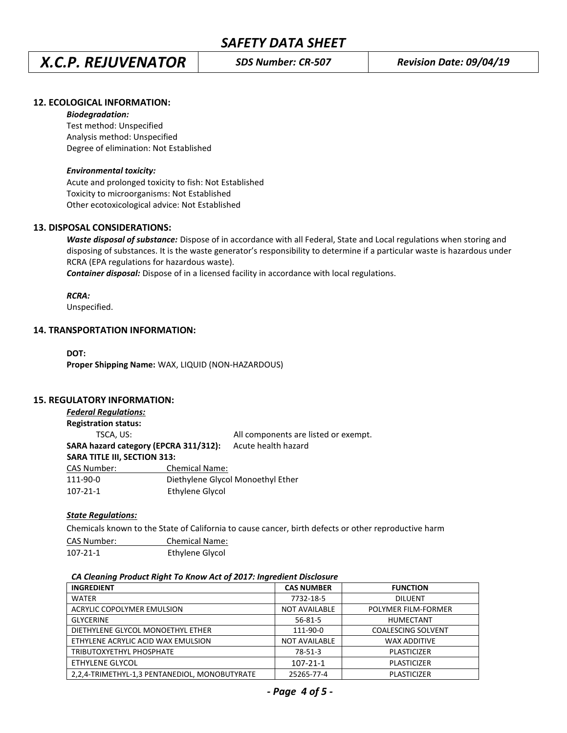# *X.C.P. REJUVENATOR SDS Number: CR-507 Revision Date: 09/04/19*

# **12. ECOLOGICAL INFORMATION:**

### *Biodegradation:*

Test method: Unspecified Analysis method: Unspecified Degree of elimination: Not Established

### *Environmental toxicity:*

Acute and prolonged toxicity to fish: Not Established Toxicity to microorganisms: Not Established Other ecotoxicological advice: Not Established

## **13. DISPOSAL CONSIDERATIONS:**

*Waste disposal of substance:* Dispose of in accordance with all Federal, State and Local regulations when storing and disposing of substances. It is the waste generator's responsibility to determine if a particular waste is hazardous under RCRA (EPA regulations for hazardous waste).

*Container disposal:* Dispose of in a licensed facility in accordance with local regulations.

*RCRA:*

Unspecified.

## **14. TRANSPORTATION INFORMATION:**

**DOT: Proper Shipping Name:** WAX, LIQUID (NON-HAZARDOUS)

## **15. REGULATORY INFORMATION:**

| <b>Federal Regulations:</b>           |                       |                                      |
|---------------------------------------|-----------------------|--------------------------------------|
| <b>Registration status:</b>           |                       |                                      |
| TSCA, US:                             |                       | All components are listed or exempt. |
| SARA hazard category (EPCRA 311/312): |                       | Acute health hazard                  |
| <b>SARA TITLE III, SECTION 313:</b>   |                       |                                      |
| <b>CAS Number:</b>                    | <b>Chemical Name:</b> |                                      |
| 111-90-0                              |                       | Diethylene Glycol Monoethyl Ether    |
| $107 - 21 - 1$                        | Ethylene Glycol       |                                      |

## *State Regulations:*

Chemicals known to the State of California to cause cancer, birth defects or other reproductive harm

| CAS Number: | <b>Chemical Name:</b> |
|-------------|-----------------------|
| 107-21-1    | Ethylene Glycol       |

## *CA Cleaning Product Right To Know Act of 2017: Ingredient Disclosure*

| <b>INGREDIENT</b>                             | <b>CAS NUMBER</b>    | <b>FUNCTION</b>           |
|-----------------------------------------------|----------------------|---------------------------|
| <b>WATER</b>                                  | 7732-18-5            | <b>DILUENT</b>            |
| ACRYLIC COPOLYMER EMULSION                    | <b>NOT AVAILABLE</b> | POLYMER FILM-FORMER       |
| <b>GLYCERINE</b>                              | $56 - 81 - 5$        | <b>HUMECTANT</b>          |
| DIETHYLENE GLYCOL MONOETHYL ETHER             | 111-90-0             | <b>COALESCING SOLVENT</b> |
| ETHYLENE ACRYLIC ACID WAX EMULSION            | <b>NOT AVAILABLE</b> | <b>WAX ADDITIVE</b>       |
| TRIBUTOXYETHYL PHOSPHATE                      | 78-51-3              | PLASTICIZER               |
| ETHYLENE GLYCOL                               | $107 - 21 - 1$       | PLASTICIZER               |
| 2,2,4-TRIMETHYL-1,3 PENTANEDIOL, MONOBUTYRATE | 25265-77-4           | <b>PLASTICIZER</b>        |